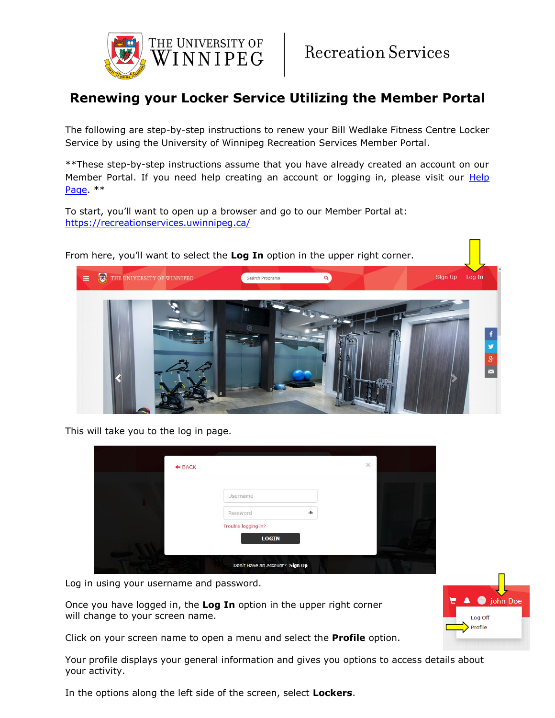

## **Renewing your Locker Service Utilizing the Member Portal**

The following are step-by-step instructions to renew your Bill Wedlake Fitness Centre Locker Service by using the University of Winnipeg Recreation Services Member Portal.

\*\*These step-by-step instructions assume that you have already created an account on our Member Portal. If you need help creating an account or logging in, please visit our Help [Page.](https://www.uwinnipeg.ca/recreation-services/help.html) \*\*

To start, you'll want to open up a browser and go to our Member Portal at: <https://recreationservices.uwinnipeg.ca/>



This will take you to the log in page.

| $+$ BACK |                                     |            | $\times$ |  |
|----------|-------------------------------------|------------|----------|--|
|          | Username                            |            |          |  |
|          | Password                            | $^{\circ}$ |          |  |
|          | Trouble logging in?<br><b>LOGIN</b> |            |          |  |
|          | Don't Have an Account? Sign Up      |            |          |  |

Log in using your username and password.

Once you have logged in, the **Log In** option in the upper right corner will change to your screen name.

Click on your screen name to open a menu and select the **Profile** option.

Your profile displays your general information and gives you options to access details about your activity.

In the options along the left side of the screen, select **Lockers**.

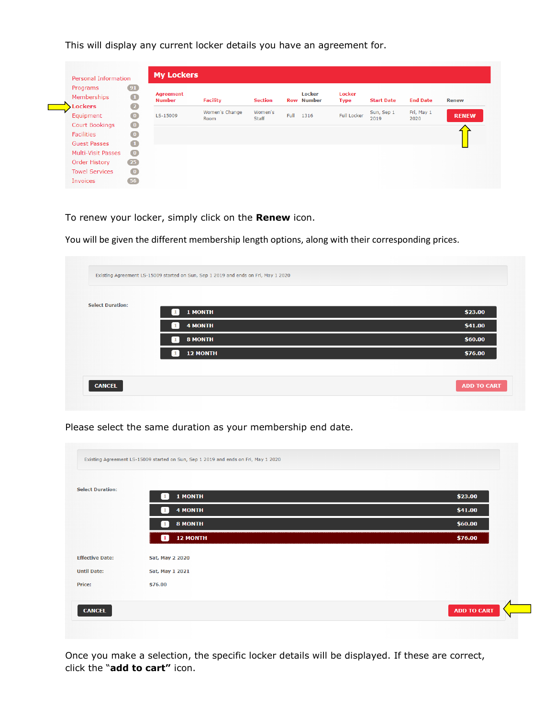This will display any current locker details you have an agreement for.

| Programs<br>Memberships<br><b>Lockers</b> | $91$<br>$\mathbf 1$<br>$\overline{\mathbf{2}}$ | <b>Agreement</b><br><b>Number</b> | <b>Facility</b> | <b>Section</b> |      | <b>Locker</b><br><b>Row Number</b> | <b>Locker</b><br><b>Type</b> | <b>Start Date</b> | <b>End Date</b> | <b>Renew</b> |
|-------------------------------------------|------------------------------------------------|-----------------------------------|-----------------|----------------|------|------------------------------------|------------------------------|-------------------|-----------------|--------------|
| Equipment                                 | $\bigcirc$                                     | LS-15009                          | Women's Change  | Women's        | Full | 1316                               | <b>Full Locker</b>           | Sun, Sep 1        | Fri, May 1      | <b>RENEW</b> |
| <b>Court Bookings</b>                     | $\bullet$                                      |                                   | <b>Room</b>     | Staff          |      |                                    |                              | 2019              | 2020            |              |
| <b>Facilities</b>                         | $\bullet$                                      |                                   |                 |                |      |                                    |                              |                   |                 |              |
| <b>Guest Passes</b>                       | $\blacksquare$                                 |                                   |                 |                |      |                                    |                              |                   |                 |              |
| Multi-Visit Passes                        | $\bullet$                                      |                                   |                 |                |      |                                    |                              |                   |                 |              |
| Order History                             | (25)                                           |                                   |                 |                |      |                                    |                              |                   |                 |              |

To renew your locker, simply click on the **Renew** icon.

You will be given the different membership length options, along with their corresponding prices.

| <b>Select Duration:</b> |                                |         |
|-------------------------|--------------------------------|---------|
|                         | 1 MONTH<br>$\mathbf{1}$        | \$23.00 |
|                         | <b>4 MONTH</b><br>$\mathbf{1}$ | \$41.00 |
|                         | <b>8 MONTH</b><br>$\mathbf{1}$ | \$60.00 |
|                         | <b>12 MONTH</b>                | \$76.00 |
|                         |                                |         |

Please select the same duration as your membership end date.

| <b>Select Duration:</b> |                                |         |
|-------------------------|--------------------------------|---------|
|                         | 1 MONTH<br>$\mathbf{1}$        | \$23.00 |
|                         | <b>4 MONTH</b>                 | \$41.00 |
|                         | <b>8 MONTH</b><br>$\mathbf{1}$ | \$60.00 |
|                         | <b>12 MONTH</b><br>o           | \$76.00 |
| <b>Effective Date:</b>  | Sat, May 2 2020                |         |
| <b>Until Date:</b>      | Sat, May 1 2021                |         |
| Price:                  | \$76.00                        |         |

Once you make a selection, the specific locker details will be displayed. If these are correct, click the "**add to cart"** icon.